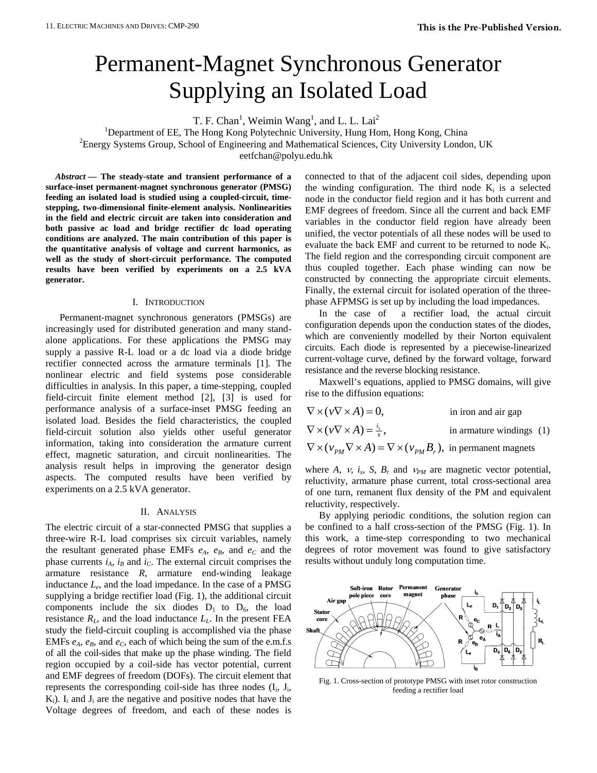# Permanent-Magnet Synchronous Generator Supplying an Isolated Load

 $T. F. Chan<sup>1</sup>, Weimin Wang<sup>1</sup>, and L. L. Lai<sup>2</sup>$ 

<sup>1</sup>Department of EE, The Hong Kong Polytechnic University, Hung Hom, Hong Kong, China

 ${}^{2}$ Energy Systems Group, School of Engineering and Mathematical Sciences, City University London, UK

eetfchan@polyu.edu.hk

*Abstract* **— The steady-state and transient performance of a surface-inset permanent-magnet synchronous generator (PMSG) feeding an isolated load is studied using a coupled-circuit, timestepping, two-dimensional finite-element analysis. Nonlinearities in the field and electric circuit are taken into consideration and both passive ac load and bridge rectifier dc load operating conditions are analyzed. The main contribution of this paper is the quantitative analysis of voltage and current harmonics, as well as the study of short-circuit performance. The computed results have been verified by experiments on a 2.5 kVA generator.** 

### I. INTRODUCTION

Permanent-magnet synchronous generators (PMSGs) are increasingly used for distributed generation and many standalone applications. For these applications the PMSG may supply a passive R-L load or a dc load via a diode bridge rectifier connected across the armature terminals [1]. The nonlinear electric and field systems pose considerable difficulties in analysis. In this paper, a time-stepping, coupled field-circuit finite element method [2], [3] is used for performance analysis of a surface-inset PMSG feeding an isolated load. Besides the field characteristics, the coupled field-circuit solution also yields other useful generator information, taking into consideration the armature current effect, magnetic saturation, and circuit nonlinearities. The analysis result helps in improving the generator design aspects. The computed results have been verified by experiments on a 2.5 kVA generator.

#### II. ANALYSIS

The electric circuit of a star-connected PMSG that supplies a three-wire R-L load comprises six circuit variables, namely the resultant generated phase EMFs  $e_A$ ,  $e_B$ , and  $e_C$  and the phase currents  $i_A$ ,  $i_B$  and  $i_C$ . The external circuit comprises the armature resistance *R*, armature end-winding leakage inductance *Le*, and the load impedance. In the case of a PMSG supplying a bridge rectifier load (Fig. 1), the additional circuit components include the six diodes  $D_1$  to  $D_6$ , the load resistance  $R_L$ , and the load inductance  $L_L$ . In the present FEA study the field-circuit coupling is accomplished via the phase EMFs  $e_A$ ,  $e_B$ , and  $e_C$ , each of which being the sum of the e.m.f.s of all the coil-sides that make up the phase winding. The field region occupied by a coil-side has vector potential, current and EMF degrees of freedom (DOFs). The circuit element that represents the corresponding coil-side has three nodes  $(I_i, J_i, J_j)$  $K_i$ ). I<sub>i</sub> and J<sub>i</sub> are the negative and positive nodes that have the Voltage degrees of freedom, and each of these nodes is connected to that of the adjacent coil sides, depending upon the winding configuration. The third node  $K_i$  is a selected node in the conductor field region and it has both current and EMF degrees of freedom. Since all the current and back EMF variables in the conductor field region have already been unified, the vector potentials of all these nodes will be used to evaluate the back EMF and current to be returned to node  $K_i$ . The field region and the corresponding circuit component are thus coupled together. Each phase winding can now be constructed by connecting the appropriate circuit elements. Finally, the external circuit for isolated operation of the threephase AFPMSG is set up by including the load impedances.

In the case of a rectifier load, the actual circuit configuration depends upon the conduction states of the diodes, which are conveniently modelled by their Norton equivalent circuits. Each diode is represented by a piecewise-linearized current-voltage curve, defined by the forward voltage, forward resistance and the reverse blocking resistance.

Maxwell's equations, applied to PMSG domains, will give rise to the diffusion equations:

| $\nabla \times (\nu \nabla \times A) = 0,$                                                                                           | in iron and air gap        |  |
|--------------------------------------------------------------------------------------------------------------------------------------|----------------------------|--|
| $\nabla \times (\nu \nabla \times A) = \frac{l_s}{s},$                                                                               | in armature windings $(1)$ |  |
| $\nabla \times (\nu_{\scriptscriptstyle PM}\nabla \times A) = \nabla \times (\nu_{\scriptscriptstyle PM}B_r)$ , in permanent magnets |                            |  |

where *A*, *v*, *i<sub>s</sub>*, *S*, *B<sub>r</sub>* and  $v_{PM}$  are magnetic vector potential, reluctivity, armature phase current, total cross-sectional area of one turn, remanent flux density of the PM and equivalent reluctivity, respectively.

By applying periodic conditions, the solution region can be confined to a half cross-section of the PMSG (Fig. 1). In this work, a time-step corresponding to two mechanical degrees of rotor movement was found to give satisfactory results without unduly long computation time.



Fig. 1. Cross-section of prototype PMSG with inset rotor construction feeding a rectifier load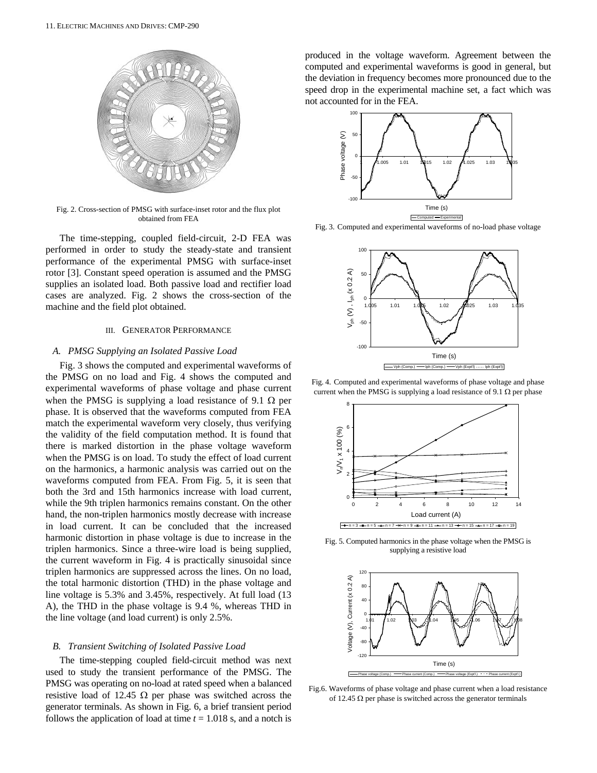

Fig. 2. Cross-section of PMSG with surface-inset rotor and the flux plot obtained from FEA

The time-stepping, coupled field-circuit, 2-D FEA was performed in order to study the steady-state and transient performance of the experimental PMSG with surface-inset rotor [3]. Constant speed operation is assumed and the PMSG supplies an isolated load. Both passive load and rectifier load cases are analyzed. Fig. 2 shows the cross-section of the machine and the field plot obtained.

## III. GENERATOR PERFORMANCE

### *A. PMSG Supplying an Isolated Passive Load*

Fig. 3 shows the computed and experimental waveforms of the PMSG on no load and Fig. 4 shows the computed and experimental waveforms of phase voltage and phase current when the PMSG is supplying a load resistance of 9.1  $\Omega$  per phase. It is observed that the waveforms computed from FEA match the experimental waveform very closely, thus verifying the validity of the field computation method. It is found that there is marked distortion in the phase voltage waveform when the PMSG is on load. To study the effect of load current on the harmonics, a harmonic analysis was carried out on the waveforms computed from FEA. From Fig. 5, it is seen that both the 3rd and 15th harmonics increase with load current, while the 9th triplen harmonics remains constant. On the other hand, the non-triplen harmonics mostly decrease with increase in load current. It can be concluded that the increased harmonic distortion in phase voltage is due to increase in the triplen harmonics. Since a three-wire load is being supplied, the current waveform in Fig. 4 is practically sinusoidal since triplen harmonics are suppressed across the lines. On no load, the total harmonic distortion (THD) in the phase voltage and line voltage is 5.3% and 3.45%, respectively. At full load (13 A), the THD in the phase voltage is 9.4 %, whereas THD in the line voltage (and load current) is only 2.5%.

#### *B. Transient Switching of Isolated Passive Load*

The time-stepping coupled field-circuit method was next used to study the transient performance of the PMSG. The PMSG was operating on no-load at rated speed when a balanced resistive load of 12.45  $\Omega$  per phase was switched across the generator terminals. As shown in Fig. 6, a brief transient period follows the application of load at time  $t = 1.018$  s, and a notch is

produced in the voltage waveform. Agreement between the computed and experimental waveforms is good in general, but the deviation in frequency becomes more pronounced due to the speed drop in the experimental machine set, a fact which was not accounted for in the FEA.



Fig. 3. Computed and experimental waveforms of no-load phase voltage



Fig. 4. Computed and experimental waveforms of phase voltage and phase current when the PMSG is supplying a load resistance of 9.1  $\Omega$  per phase



Fig. 5. Computed harmonics in the phase voltage when the PMSG is supplying a resistive load



Fig.6. Waveforms of phase voltage and phase current when a load resistance of 12.45  $\Omega$  per phase is switched across the generator terminals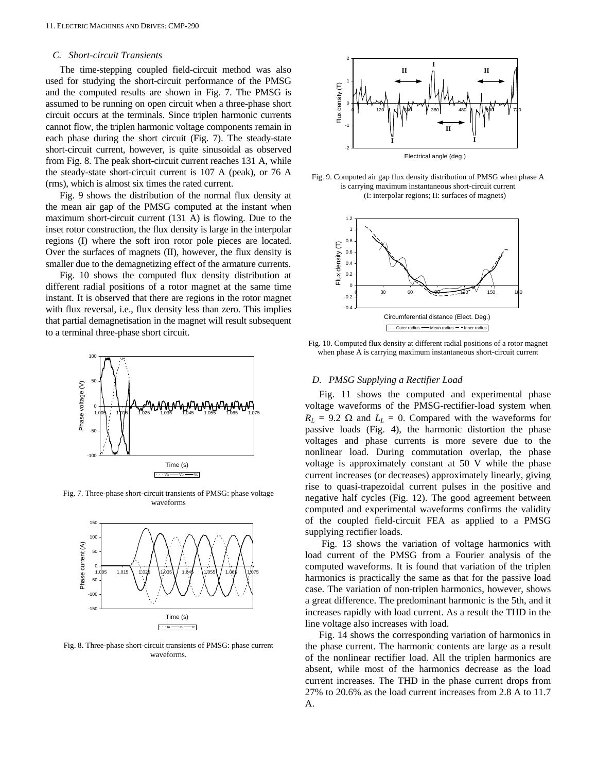## *C. Short-circuit Transients*

The time-stepping coupled field-circuit method was also used for studying the short-circuit performance of the PMSG and the computed results are shown in Fig. 7. The PMSG is assumed to be running on open circuit when a three-phase short circuit occurs at the terminals. Since triplen harmonic currents cannot flow, the triplen harmonic voltage components remain in each phase during the short circuit (Fig. 7). The steady-state short-circuit current, however, is quite sinusoidal as observed from Fig. 8. The peak short-circuit current reaches 131 A, while the steady-state short-circuit current is 107 A (peak), or 76 A (rms), which is almost six times the rated current.

Fig. 9 shows the distribution of the normal flux density at the mean air gap of the PMSG computed at the instant when maximum short-circuit current (131 A) is flowing. Due to the inset rotor construction, the flux density is large in the interpolar regions (I) where the soft iron rotor pole pieces are located. Over the surfaces of magnets (II), however, the flux density is smaller due to the demagnetizing effect of the armature currents.

Fig. 10 shows the computed flux density distribution at different radial positions of a rotor magnet at the same time instant. It is observed that there are regions in the rotor magnet with flux reversal, i.e., flux density less than zero. This implies that partial demagnetisation in the magnet will result subsequent to a terminal three-phase short circuit.



Fig. 7. Three-phase short-circuit transients of PMSG: phase voltage waveforms



Fig. 8. Three-phase short-circuit transients of PMSG: phase current waveforms.



Fig. 9. Computed air gap flux density distribution of PMSG when phase A is carrying maximum instantaneous short-circuit current (I: interpolar regions; II: surfaces of magnets)



Fig. 10. Computed flux density at different radial positions of a rotor magnet when phase A is carrying maximum instantaneous short-circuit current

## *D. PMSG Supplying a Rectifier Load*

Fig. 11 shows the computed and experimental phase voltage waveforms of the PMSG-rectifier-load system when  $R_L$  = 9.2  $\Omega$  and  $L_L$  = 0. Compared with the waveforms for passive loads (Fig. 4), the harmonic distortion the phase voltages and phase currents is more severe due to the nonlinear load. During commutation overlap, the phase voltage is approximately constant at 50 V while the phase current increases (or decreases) approximately linearly, giving rise to quasi-trapezoidal current pulses in the positive and negative half cycles (Fig. 12). The good agreement between computed and experimental waveforms confirms the validity of the coupled field-circuit FEA as applied to a PMSG supplying rectifier loads.

 Fig. 13 shows the variation of voltage harmonics with load current of the PMSG from a Fourier analysis of the computed waveforms. It is found that variation of the triplen harmonics is practically the same as that for the passive load case. The variation of non-triplen harmonics, however, shows a great difference. The predominant harmonic is the 5th, and it increases rapidly with load current. As a result the THD in the line voltage also increases with load.

Fig. 14 shows the corresponding variation of harmonics in the phase current. The harmonic contents are large as a result of the nonlinear rectifier load. All the triplen harmonics are absent, while most of the harmonics decrease as the load current increases. The THD in the phase current drops from 27% to 20.6% as the load current increases from 2.8 A to 11.7 A.